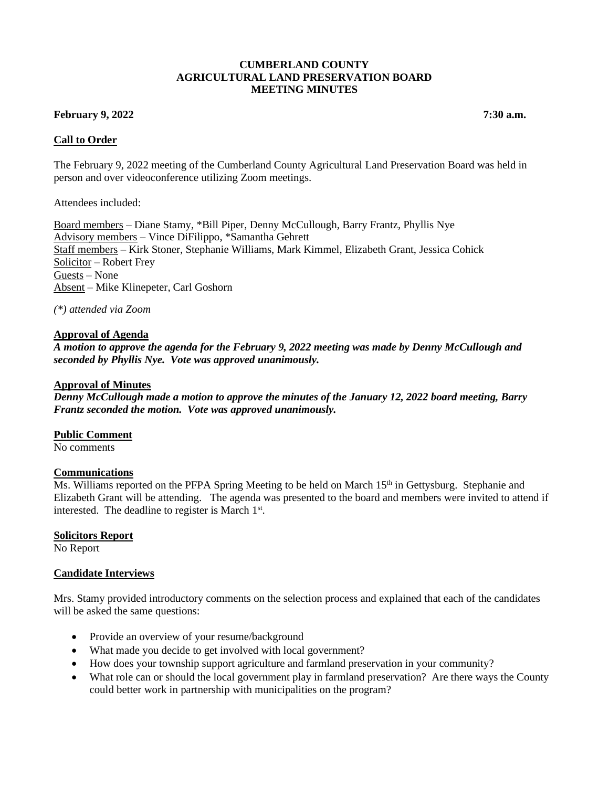### **CUMBERLAND COUNTY AGRICULTURAL LAND PRESERVATION BOARD MEETING MINUTES**

## **February 9, 2022 7:30 a.m.**

### **Call to Order**

The February 9, 2022 meeting of the Cumberland County Agricultural Land Preservation Board was held in person and over videoconference utilizing Zoom meetings.

Attendees included:

Board members – Diane Stamy, \*Bill Piper, Denny McCullough, Barry Frantz, Phyllis Nye Advisory members – Vince DiFilippo, \*Samantha Gehrett Staff members – Kirk Stoner, Stephanie Williams, Mark Kimmel, Elizabeth Grant, Jessica Cohick Solicitor – Robert Frey Guests – None Absent – Mike Klinepeter, Carl Goshorn

*(\*) attended via Zoom*

### **Approval of Agenda**

*A motion to approve the agenda for the February 9, 2022 meeting was made by Denny McCullough and seconded by Phyllis Nye. Vote was approved unanimously.*

### **Approval of Minutes**

*Denny McCullough made a motion to approve the minutes of the January 12, 2022 board meeting, Barry Frantz seconded the motion. Vote was approved unanimously.*

#### **Public Comment**

No comments

#### **Communications**

Ms. Williams reported on the PFPA Spring Meeting to be held on March 15<sup>th</sup> in Gettysburg. Stephanie and Elizabeth Grant will be attending. The agenda was presented to the board and members were invited to attend if interested. The deadline to register is March 1<sup>st</sup>.

#### **Solicitors Report**

No Report

### **Candidate Interviews**

Mrs. Stamy provided introductory comments on the selection process and explained that each of the candidates will be asked the same questions:

- Provide an overview of your resume/background
- What made you decide to get involved with local government?
- How does your township support agriculture and farmland preservation in your community?
- What role can or should the local government play in farmland preservation? Are there ways the County could better work in partnership with municipalities on the program?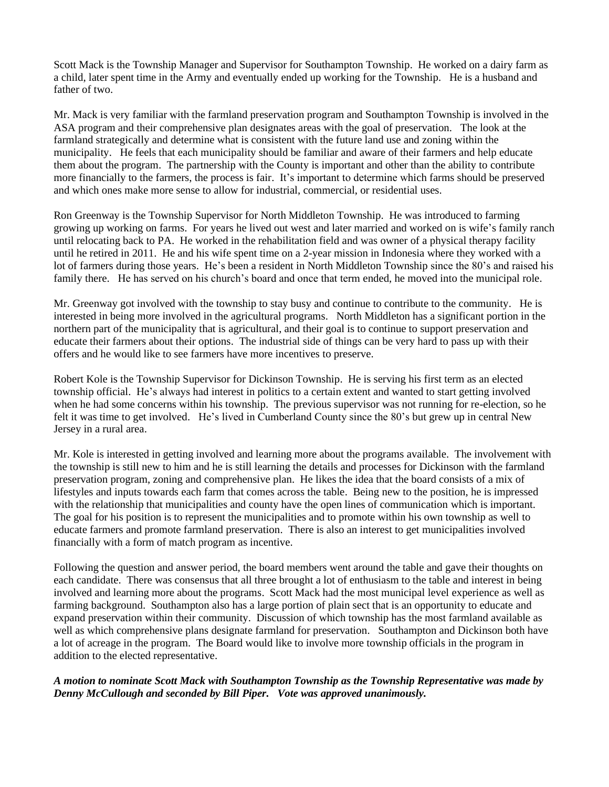Scott Mack is the Township Manager and Supervisor for Southampton Township. He worked on a dairy farm as a child, later spent time in the Army and eventually ended up working for the Township. He is a husband and father of two.

Mr. Mack is very familiar with the farmland preservation program and Southampton Township is involved in the ASA program and their comprehensive plan designates areas with the goal of preservation. The look at the farmland strategically and determine what is consistent with the future land use and zoning within the municipality. He feels that each municipality should be familiar and aware of their farmers and help educate them about the program. The partnership with the County is important and other than the ability to contribute more financially to the farmers, the process is fair. It's important to determine which farms should be preserved and which ones make more sense to allow for industrial, commercial, or residential uses.

Ron Greenway is the Township Supervisor for North Middleton Township. He was introduced to farming growing up working on farms. For years he lived out west and later married and worked on is wife's family ranch until relocating back to PA. He worked in the rehabilitation field and was owner of a physical therapy facility until he retired in 2011. He and his wife spent time on a 2-year mission in Indonesia where they worked with a lot of farmers during those years. He's been a resident in North Middleton Township since the 80's and raised his family there. He has served on his church's board and once that term ended, he moved into the municipal role.

Mr. Greenway got involved with the township to stay busy and continue to contribute to the community. He is interested in being more involved in the agricultural programs. North Middleton has a significant portion in the northern part of the municipality that is agricultural, and their goal is to continue to support preservation and educate their farmers about their options. The industrial side of things can be very hard to pass up with their offers and he would like to see farmers have more incentives to preserve.

Robert Kole is the Township Supervisor for Dickinson Township. He is serving his first term as an elected township official. He's always had interest in politics to a certain extent and wanted to start getting involved when he had some concerns within his township. The previous supervisor was not running for re-election, so he felt it was time to get involved. He's lived in Cumberland County since the 80's but grew up in central New Jersey in a rural area.

Mr. Kole is interested in getting involved and learning more about the programs available. The involvement with the township is still new to him and he is still learning the details and processes for Dickinson with the farmland preservation program, zoning and comprehensive plan. He likes the idea that the board consists of a mix of lifestyles and inputs towards each farm that comes across the table. Being new to the position, he is impressed with the relationship that municipalities and county have the open lines of communication which is important. The goal for his position is to represent the municipalities and to promote within his own township as well to educate farmers and promote farmland preservation. There is also an interest to get municipalities involved financially with a form of match program as incentive.

Following the question and answer period, the board members went around the table and gave their thoughts on each candidate. There was consensus that all three brought a lot of enthusiasm to the table and interest in being involved and learning more about the programs. Scott Mack had the most municipal level experience as well as farming background. Southampton also has a large portion of plain sect that is an opportunity to educate and expand preservation within their community. Discussion of which township has the most farmland available as well as which comprehensive plans designate farmland for preservation. Southampton and Dickinson both have a lot of acreage in the program. The Board would like to involve more township officials in the program in addition to the elected representative.

# *A motion to nominate Scott Mack with Southampton Township as the Township Representative was made by Denny McCullough and seconded by Bill Piper. Vote was approved unanimously.*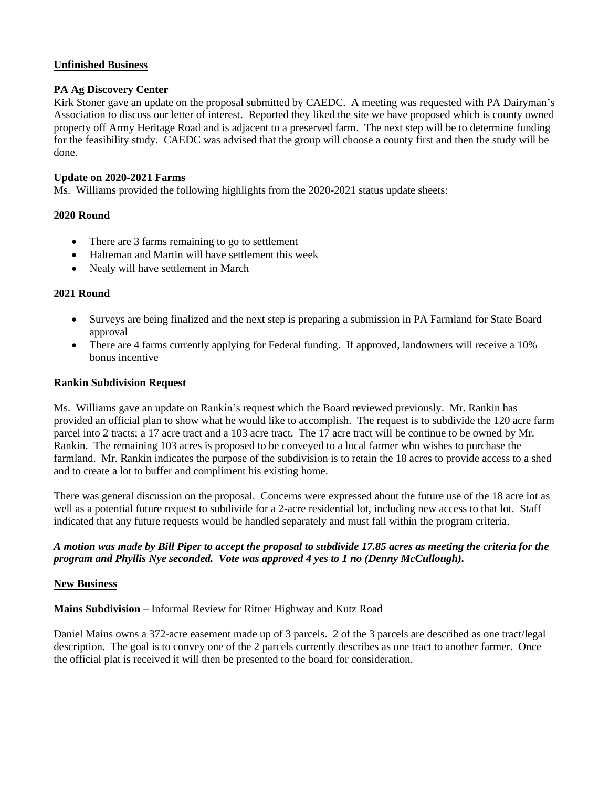# **Unfinished Business**

## **PA Ag Discovery Center**

Kirk Stoner gave an update on the proposal submitted by CAEDC. A meeting was requested with PA Dairyman's Association to discuss our letter of interest. Reported they liked the site we have proposed which is county owned property off Army Heritage Road and is adjacent to a preserved farm. The next step will be to determine funding for the feasibility study. CAEDC was advised that the group will choose a county first and then the study will be done.

# **Update on 2020-2021 Farms**

Ms. Williams provided the following highlights from the 2020-2021 status update sheets:

# **2020 Round**

- There are 3 farms remaining to go to settlement
- Halteman and Martin will have settlement this week
- Nealy will have settlement in March

## **2021 Round**

- Surveys are being finalized and the next step is preparing a submission in PA Farmland for State Board approval
- There are 4 farms currently applying for Federal funding. If approved, landowners will receive a 10% bonus incentive

## **Rankin Subdivision Request**

Ms. Williams gave an update on Rankin's request which the Board reviewed previously. Mr. Rankin has provided an official plan to show what he would like to accomplish. The request is to subdivide the 120 acre farm parcel into 2 tracts; a 17 acre tract and a 103 acre tract. The 17 acre tract will be continue to be owned by Mr. Rankin. The remaining 103 acres is proposed to be conveyed to a local farmer who wishes to purchase the farmland. Mr. Rankin indicates the purpose of the subdivision is to retain the 18 acres to provide access to a shed and to create a lot to buffer and compliment his existing home.

There was general discussion on the proposal. Concerns were expressed about the future use of the 18 acre lot as well as a potential future request to subdivide for a 2-acre residential lot, including new access to that lot. Staff indicated that any future requests would be handled separately and must fall within the program criteria.

# *A motion was made by Bill Piper to accept the proposal to subdivide 17.85 acres as meeting the criteria for the program and Phyllis Nye seconded. Vote was approved 4 yes to 1 no (Denny McCullough).*

## **New Business**

**Mains Subdivision –** Informal Review for Ritner Highway and Kutz Road

Daniel Mains owns a 372-acre easement made up of 3 parcels. 2 of the 3 parcels are described as one tract/legal description. The goal is to convey one of the 2 parcels currently describes as one tract to another farmer. Once the official plat is received it will then be presented to the board for consideration.